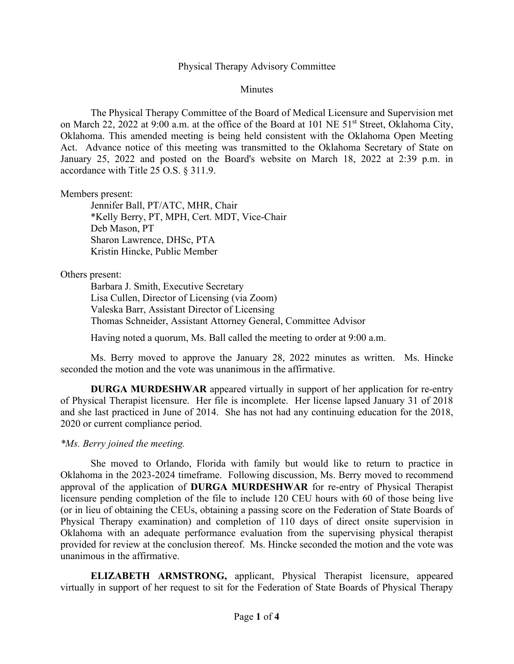# Physical Therapy Advisory Committee

**Minutes** 

The Physical Therapy Committee of the Board of Medical Licensure and Supervision met on March 22, 2022 at 9:00 a.m. at the office of the Board at 101 NE 51<sup>st</sup> Street, Oklahoma City, Oklahoma. This amended meeting is being held consistent with the Oklahoma Open Meeting Act. Advance notice of this meeting was transmitted to the Oklahoma Secretary of State on January 25, 2022 and posted on the Board's website on March 18, 2022 at 2:39 p.m. in accordance with Title 25 O.S. § 311.9.

Members present:

Jennifer Ball, PT/ATC, MHR, Chair \*Kelly Berry, PT, MPH, Cert. MDT, Vice-Chair Deb Mason, PT Sharon Lawrence, DHSc, PTA Kristin Hincke, Public Member

# Others present:

Barbara J. Smith, Executive Secretary Lisa Cullen, Director of Licensing (via Zoom) Valeska Barr, Assistant Director of Licensing Thomas Schneider, Assistant Attorney General, Committee Advisor

Having noted a quorum, Ms. Ball called the meeting to order at 9:00 a.m.

Ms. Berry moved to approve the January 28, 2022 minutes as written. Ms. Hincke seconded the motion and the vote was unanimous in the affirmative.

**DURGA MURDESHWAR** appeared virtually in support of her application for re-entry of Physical Therapist licensure. Her file is incomplete. Her license lapsed January 31 of 2018 and she last practiced in June of 2014. She has not had any continuing education for the 2018, 2020 or current compliance period.

# *\*Ms. Berry joined the meeting.*

She moved to Orlando, Florida with family but would like to return to practice in Oklahoma in the 2023-2024 timeframe. Following discussion, Ms. Berry moved to recommend approval of the application of **DURGA MURDESHWAR** for re-entry of Physical Therapist licensure pending completion of the file to include 120 CEU hours with 60 of those being live (or in lieu of obtaining the CEUs, obtaining a passing score on the Federation of State Boards of Physical Therapy examination) and completion of 110 days of direct onsite supervision in Oklahoma with an adequate performance evaluation from the supervising physical therapist provided for review at the conclusion thereof. Ms. Hincke seconded the motion and the vote was unanimous in the affirmative.

**ELIZABETH ARMSTRONG,** applicant, Physical Therapist licensure, appeared virtually in support of her request to sit for the Federation of State Boards of Physical Therapy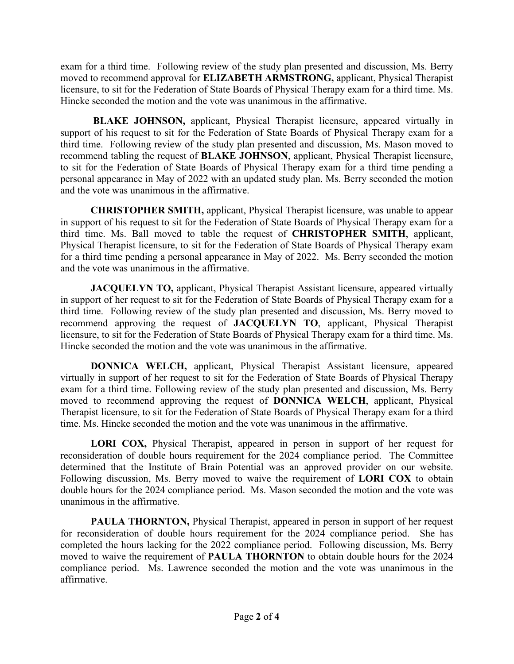exam for a third time. Following review of the study plan presented and discussion, Ms. Berry moved to recommend approval for **ELIZABETH ARMSTRONG,** applicant, Physical Therapist licensure, to sit for the Federation of State Boards of Physical Therapy exam for a third time. Ms. Hincke seconded the motion and the vote was unanimous in the affirmative.

**BLAKE JOHNSON,** applicant, Physical Therapist licensure, appeared virtually in support of his request to sit for the Federation of State Boards of Physical Therapy exam for a third time. Following review of the study plan presented and discussion, Ms. Mason moved to recommend tabling the request of **BLAKE JOHNSON**, applicant, Physical Therapist licensure, to sit for the Federation of State Boards of Physical Therapy exam for a third time pending a personal appearance in May of 2022 with an updated study plan. Ms. Berry seconded the motion and the vote was unanimous in the affirmative.

**CHRISTOPHER SMITH,** applicant, Physical Therapist licensure, was unable to appear in support of his request to sit for the Federation of State Boards of Physical Therapy exam for a third time. Ms. Ball moved to table the request of **CHRISTOPHER SMITH**, applicant, Physical Therapist licensure, to sit for the Federation of State Boards of Physical Therapy exam for a third time pending a personal appearance in May of 2022. Ms. Berry seconded the motion and the vote was unanimous in the affirmative.

**JACQUELYN TO,** applicant, Physical Therapist Assistant licensure, appeared virtually in support of her request to sit for the Federation of State Boards of Physical Therapy exam for a third time. Following review of the study plan presented and discussion, Ms. Berry moved to recommend approving the request of **JACQUELYN TO**, applicant, Physical Therapist licensure, to sit for the Federation of State Boards of Physical Therapy exam for a third time. Ms. Hincke seconded the motion and the vote was unanimous in the affirmative.

**DONNICA WELCH,** applicant, Physical Therapist Assistant licensure, appeared virtually in support of her request to sit for the Federation of State Boards of Physical Therapy exam for a third time. Following review of the study plan presented and discussion, Ms. Berry moved to recommend approving the request of **DONNICA WELCH**, applicant, Physical Therapist licensure, to sit for the Federation of State Boards of Physical Therapy exam for a third time. Ms. Hincke seconded the motion and the vote was unanimous in the affirmative.

**LORI COX,** Physical Therapist, appeared in person in support of her request for reconsideration of double hours requirement for the 2024 compliance period. The Committee determined that the Institute of Brain Potential was an approved provider on our website. Following discussion, Ms. Berry moved to waive the requirement of **LORI COX** to obtain double hours for the 2024 compliance period. Ms. Mason seconded the motion and the vote was unanimous in the affirmative.

**PAULA THORNTON, Physical Therapist, appeared in person in support of her request** for reconsideration of double hours requirement for the 2024 compliance period. She has completed the hours lacking for the 2022 compliance period. Following discussion, Ms. Berry moved to waive the requirement of **PAULA THORNTON** to obtain double hours for the 2024 compliance period. Ms. Lawrence seconded the motion and the vote was unanimous in the affirmative.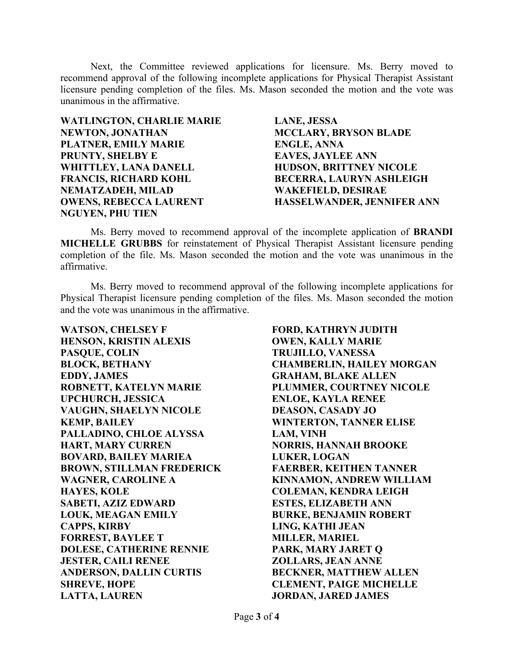Next, the Committee reviewed applications for licensure. Ms. Berry moved to recommend approval of the following incomplete applications for Physical Therapist Assistant licensure pending completion of the files. Ms. Mason seconded the motion and the vote was unanimous in the affirmative.

**WATLINGTON, CHARLIE MARIE NEWTON, JONATHAN PLATNER, EMILY MARIE PRUNTY, SHELBY E WHITTLEY, LANA DANELL FRANCIS, RICHARD KOHL NEMATZADEH, MILAD OWENS, REBECCA LAURENT NGUYEN, PHU TIEN** 

**LANE, JESSA MCCLARY, BRYSON BLADE ENGLE, ANNA EAVES, JAYLEE ANN HUDSON, BRITTNEY NICOLE BECERRA, LAURYN ASHLEIGH WAKEFIELD, DESIRAE HASSELWANDER, JENNIFER ANN** 

Ms. Berry moved to recommend approval of the incomplete application of **BRANDI MICHELLE GRUBBS** for reinstatement of Physical Therapist Assistant licensure pending completion of the file. Ms. Mason seconded the motion and the vote was unanimous in the affirmative.

Ms. Berry moved to recommend approval of the following incomplete applications for Physical Therapist licensure pending completion of the files. Ms. Mason seconded the motion and the vote was unanimous in the affirmative.

**WATSON, CHELSEY F HENSON, KRISTIN ALEXIS PASQUE, COLIN BLOCK, BETHANY EDDY, JAMES ROBNETT, KATELYN MARIE UPCHURCH, JESSICA VAUGHN, SHAELYN NICOLE KEMP, BAILEY PALLADINO, CHLOE ALYSSA HART, MARY CURREN BOVARD, BAILEY MARIEA BROWN, STILLMAN FREDERICK WAGNER, CAROLINE A HAYES, KOLE SABETI, AZIZ EDWARD LOUK, MEAGAN EMILY CAPPS, KIRBY FORREST, BAYLEE T DOLESE, CATHERINE RENNIE JESTER, CAILI RENEE ANDERSON, DALLIN CURTIS SHREVE, HOPE LATTA, LAUREN** 

**FORD, KATHRYN JUDITH OWEN, KALLY MARIE TRUJILLO, VANESSA CHAMBERLIN, HAILEY MORGAN GRAHAM, BLAKE ALLEN PLUMMER, COURTNEY NICOLE ENLOE, KAYLA RENEE DEASON, CASADY JO WINTERTON, TANNER ELISE LAM, VINH NORRIS, HANNAH BROOKE LUKER, LOGAN FAERBER, KEITHEN TANNER KINNAMON, ANDREW WILLIAM COLEMAN, KENDRA LEIGH ESTES, ELIZABETH ANN BURKE, BENJAMIN ROBERT LING, KATHI JEAN MILLER, MARIEL PARK, MARY JARET Q ZOLLARS, JEAN ANNE BECKNER, MATTHEW ALLEN CLEMENT, PAIGE MICHELLE JORDAN, JARED JAMES**